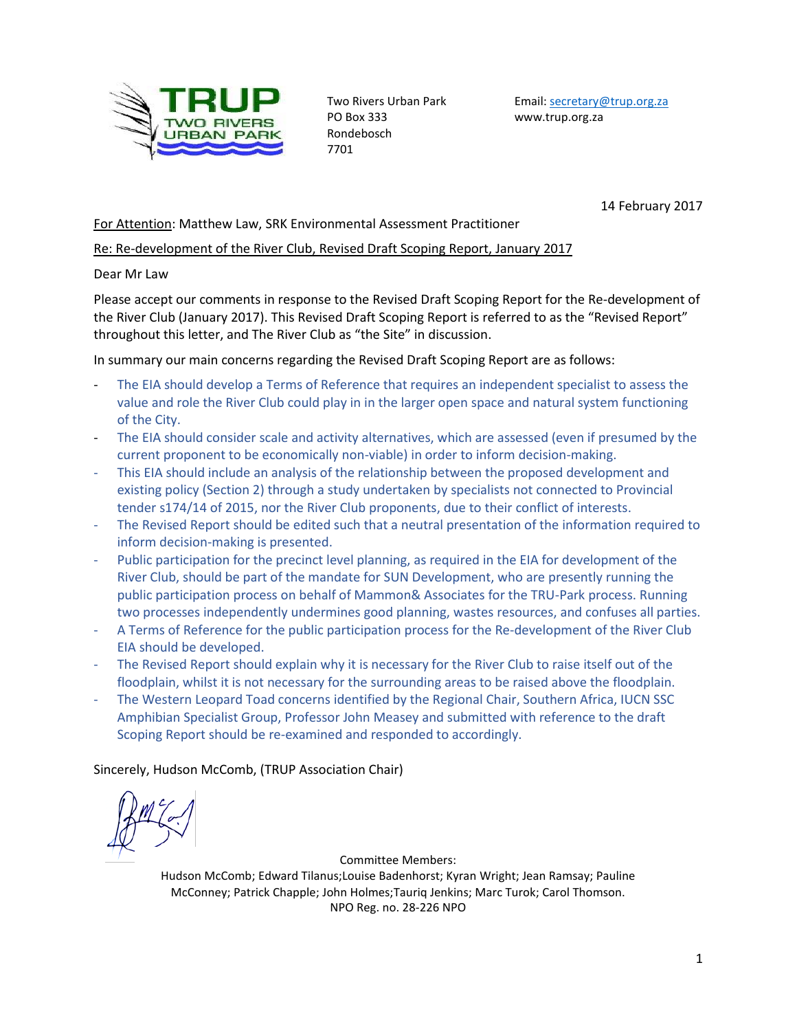

PO Box 333 www.trup.org.za Rondebosch 7701

Two Rivers Urban Park Email[: secretary@trup.org.za](mailto:secretary@trup.org.za)

14 February 2017

## For Attention: Matthew Law, SRK Environmental Assessment Practitioner

## Re: Re-development of the River Club, Revised Draft Scoping Report, January 2017

#### Dear Mr Law

Please accept our comments in response to the Revised Draft Scoping Report for the Re-development of the River Club (January 2017). This Revised Draft Scoping Report is referred to as the "Revised Report" throughout this letter, and The River Club as "the Site" in discussion.

In summary our main concerns regarding the Revised Draft Scoping Report are as follows:

- The EIA should develop a Terms of Reference that requires an independent specialist to assess the value and role the River Club could play in in the larger open space and natural system functioning of the City.
- The EIA should consider scale and activity alternatives, which are assessed (even if presumed by the current proponent to be economically non-viable) in order to inform decision-making.
- This EIA should include an analysis of the relationship between the proposed development and existing policy (Section 2) through a study undertaken by specialists not connected to Provincial tender s174/14 of 2015, nor the River Club proponents, due to their conflict of interests.
- The Revised Report should be edited such that a neutral presentation of the information required to inform decision-making is presented.
- Public participation for the precinct level planning, as required in the EIA for development of the River Club, should be part of the mandate for SUN Development, who are presently running the public participation process on behalf of Mammon& Associates for the TRU-Park process. Running two processes independently undermines good planning, wastes resources, and confuses all parties.
- A Terms of Reference for the public participation process for the Re-development of the River Club EIA should be developed.
- The Revised Report should explain why it is necessary for the River Club to raise itself out of the floodplain, whilst it is not necessary for the surrounding areas to be raised above the floodplain.
- The Western Leopard Toad concerns identified by the Regional Chair, Southern Africa, IUCN SSC Amphibian Specialist Group, Professor John Measey and submitted with reference to the draft Scoping Report should be re-examined and responded to accordingly.

Sincerely, Hudson McComb, (TRUP Association Chair)

Committee Members:

Hudson McComb; Edward Tilanus;Louise Badenhorst; Kyran Wright; Jean Ramsay; Pauline McConney; Patrick Chapple; John Holmes;Tauriq Jenkins; Marc Turok; Carol Thomson. NPO Reg. no. 28-226 NPO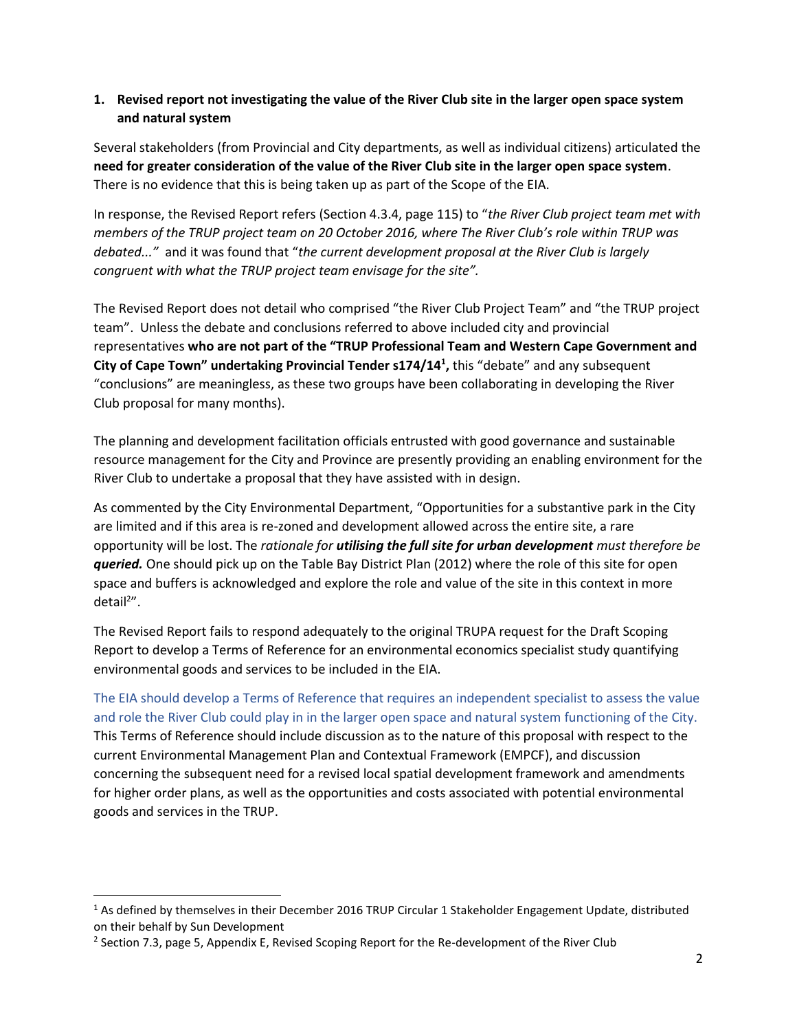# **1. Revised report not investigating the value of the River Club site in the larger open space system and natural system**

Several stakeholders (from Provincial and City departments, as well as individual citizens) articulated the **need for greater consideration of the value of the River Club site in the larger open space system**. There is no evidence that this is being taken up as part of the Scope of the EIA.

In response, the Revised Report refers (Section 4.3.4, page 115) to "*the River Club project team met with members of the TRUP project team on 20 October 2016, where The River Club's role within TRUP was debated..."* and it was found that "*the current development proposal at the River Club is largely congruent with what the TRUP project team envisage for the site".*

The Revised Report does not detail who comprised "the River Club Project Team" and "the TRUP project team". Unless the debate and conclusions referred to above included city and provincial representatives **who are not part of the "TRUP Professional Team and Western Cape Government and City of Cape Town" undertaking Provincial Tender s174/14<sup>1</sup> ,** this "debate" and any subsequent "conclusions" are meaningless, as these two groups have been collaborating in developing the River Club proposal for many months).

The planning and development facilitation officials entrusted with good governance and sustainable resource management for the City and Province are presently providing an enabling environment for the River Club to undertake a proposal that they have assisted with in design.

As commented by the City Environmental Department, "Opportunities for a substantive park in the City are limited and if this area is re-zoned and development allowed across the entire site, a rare opportunity will be lost. The *rationale for utilising the full site for urban development must therefore be queried.* One should pick up on the Table Bay District Plan (2012) where the role of this site for open space and buffers is acknowledged and explore the role and value of the site in this context in more detail<sup>2</sup>".

The Revised Report fails to respond adequately to the original TRUPA request for the Draft Scoping Report to develop a Terms of Reference for an environmental economics specialist study quantifying environmental goods and services to be included in the EIA.

The EIA should develop a Terms of Reference that requires an independent specialist to assess the value and role the River Club could play in in the larger open space and natural system functioning of the City. This Terms of Reference should include discussion as to the nature of this proposal with respect to the current Environmental Management Plan and Contextual Framework (EMPCF), and discussion concerning the subsequent need for a revised local spatial development framework and amendments for higher order plans, as well as the opportunities and costs associated with potential environmental goods and services in the TRUP.

 $\overline{\phantom{a}}$ 

<sup>&</sup>lt;sup>1</sup> As defined by themselves in their December 2016 TRUP Circular 1 Stakeholder Engagement Update, distributed on their behalf by Sun Development

<sup>&</sup>lt;sup>2</sup> Section 7.3, page 5, Appendix E, Revised Scoping Report for the Re-development of the River Club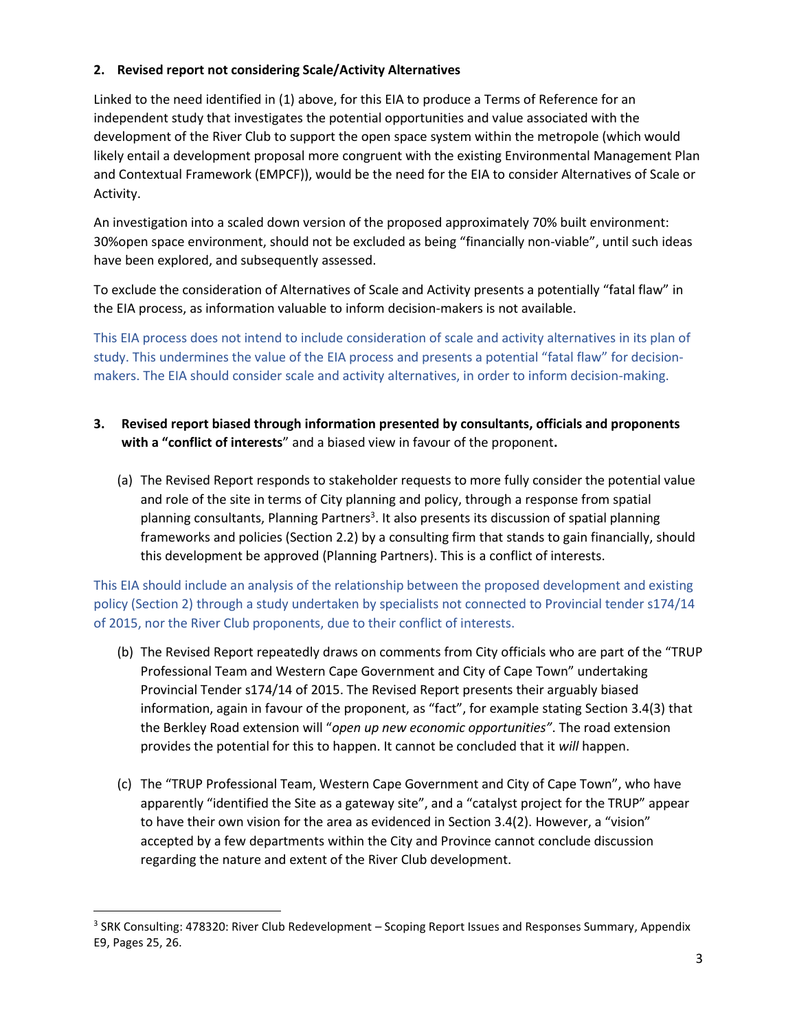## **2. Revised report not considering Scale/Activity Alternatives**

Linked to the need identified in (1) above, for this EIA to produce a Terms of Reference for an independent study that investigates the potential opportunities and value associated with the development of the River Club to support the open space system within the metropole (which would likely entail a development proposal more congruent with the existing Environmental Management Plan and Contextual Framework (EMPCF)), would be the need for the EIA to consider Alternatives of Scale or Activity.

An investigation into a scaled down version of the proposed approximately 70% built environment: 30%open space environment, should not be excluded as being "financially non-viable", until such ideas have been explored, and subsequently assessed.

To exclude the consideration of Alternatives of Scale and Activity presents a potentially "fatal flaw" in the EIA process, as information valuable to inform decision-makers is not available.

This EIA process does not intend to include consideration of scale and activity alternatives in its plan of study. This undermines the value of the EIA process and presents a potential "fatal flaw" for decisionmakers. The EIA should consider scale and activity alternatives, in order to inform decision-making.

- **3. Revised report biased through information presented by consultants, officials and proponents with a "conflict of interests**" and a biased view in favour of the proponent**.**
	- (a) The Revised Report responds to stakeholder requests to more fully consider the potential value and role of the site in terms of City planning and policy, through a response from spatial planning consultants, Planning Partners<sup>3</sup>. It also presents its discussion of spatial planning frameworks and policies (Section 2.2) by a consulting firm that stands to gain financially, should this development be approved (Planning Partners). This is a conflict of interests.

This EIA should include an analysis of the relationship between the proposed development and existing policy (Section 2) through a study undertaken by specialists not connected to Provincial tender s174/14 of 2015, nor the River Club proponents, due to their conflict of interests.

- (b) The Revised Report repeatedly draws on comments from City officials who are part of the "TRUP Professional Team and Western Cape Government and City of Cape Town" undertaking Provincial Tender s174/14 of 2015. The Revised Report presents their arguably biased information, again in favour of the proponent, as "fact", for example stating Section 3.4(3) that the Berkley Road extension will "*open up new economic opportunities"*. The road extension provides the potential for this to happen. It cannot be concluded that it *will* happen.
- (c) The "TRUP Professional Team, Western Cape Government and City of Cape Town", who have apparently "identified the Site as a gateway site", and a "catalyst project for the TRUP" appear to have their own vision for the area as evidenced in Section 3.4(2). However, a "vision" accepted by a few departments within the City and Province cannot conclude discussion regarding the nature and extent of the River Club development.

 $\overline{a}$ 

<sup>&</sup>lt;sup>3</sup> SRK Consulting: 478320: River Club Redevelopment – Scoping Report Issues and Responses Summary, Appendix E9, Pages 25, 26.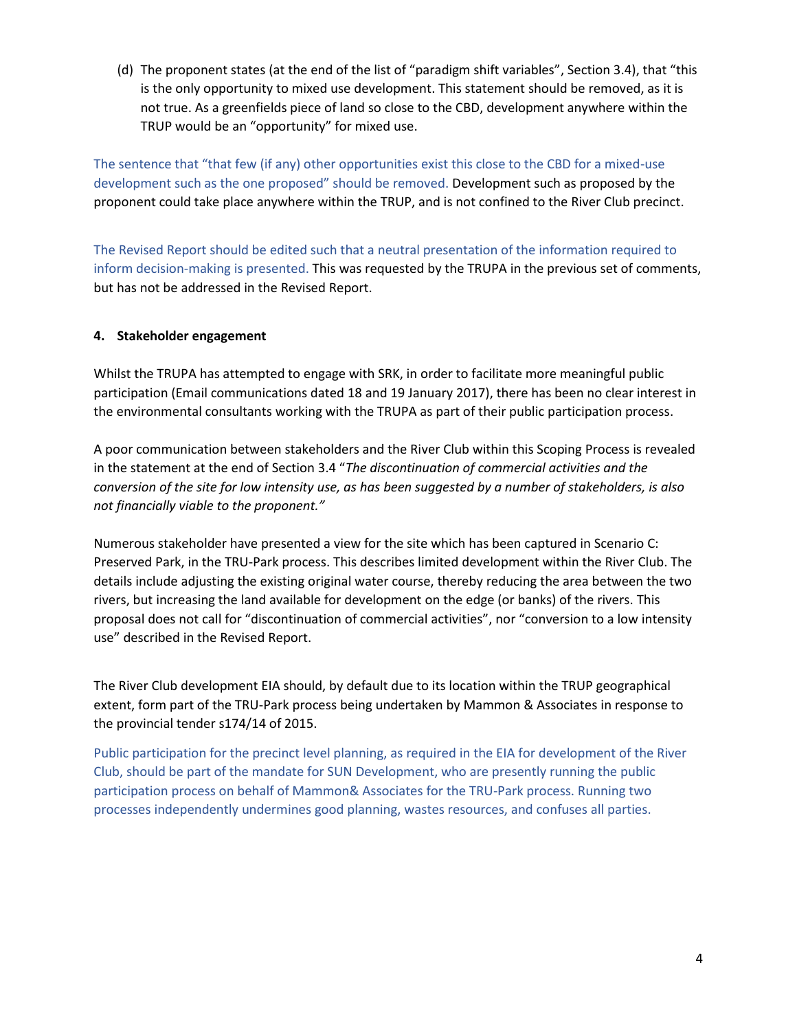(d) The proponent states (at the end of the list of "paradigm shift variables", Section 3.4), that "this is the only opportunity to mixed use development. This statement should be removed, as it is not true. As a greenfields piece of land so close to the CBD, development anywhere within the TRUP would be an "opportunity" for mixed use.

The sentence that "that few (if any) other opportunities exist this close to the CBD for a mixed-use development such as the one proposed" should be removed. Development such as proposed by the proponent could take place anywhere within the TRUP, and is not confined to the River Club precinct.

The Revised Report should be edited such that a neutral presentation of the information required to inform decision-making is presented. This was requested by the TRUPA in the previous set of comments, but has not be addressed in the Revised Report.

# **4. Stakeholder engagement**

Whilst the TRUPA has attempted to engage with SRK, in order to facilitate more meaningful public participation (Email communications dated 18 and 19 January 2017), there has been no clear interest in the environmental consultants working with the TRUPA as part of their public participation process.

A poor communication between stakeholders and the River Club within this Scoping Process is revealed in the statement at the end of Section 3.4 "*The discontinuation of commercial activities and the conversion of the site for low intensity use, as has been suggested by a number of stakeholders, is also not financially viable to the proponent."*

Numerous stakeholder have presented a view for the site which has been captured in Scenario C: Preserved Park, in the TRU-Park process. This describes limited development within the River Club. The details include adjusting the existing original water course, thereby reducing the area between the two rivers, but increasing the land available for development on the edge (or banks) of the rivers. This proposal does not call for "discontinuation of commercial activities", nor "conversion to a low intensity use" described in the Revised Report.

The River Club development EIA should, by default due to its location within the TRUP geographical extent, form part of the TRU-Park process being undertaken by Mammon & Associates in response to the provincial tender s174/14 of 2015.

Public participation for the precinct level planning, as required in the EIA for development of the River Club, should be part of the mandate for SUN Development, who are presently running the public participation process on behalf of Mammon& Associates for the TRU-Park process. Running two processes independently undermines good planning, wastes resources, and confuses all parties.